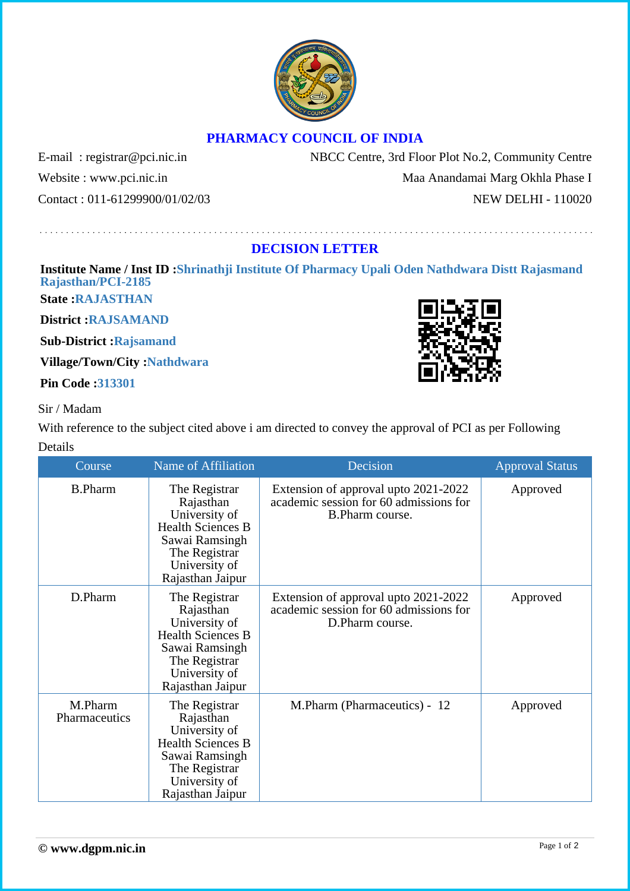## **PHARMACY COUNCIL OF INDIA**

Website : www.pci.nic.in Maa Anandamai Marg Okhla Phase I Contact : 011-61299900/01/02/03 NEW DELHI - 110020

E-mail: registrar@pci.nic.in NBCC Centre, 3rd Floor Plot No.2, Community Centre

## **DECISION LETTER**

## **Institute Name / Inst ID :Shrinathji Institute Of Pharmacy Upali Oden Nathdwara Distt Rajasmand Rajasthan/PCI-2185**

**State :RAJASTHAN**

**District :RAJSAMAND**

**Sub-District :Rajsamand**

**Village/Town/City :Nathdwara**

**Pin Code :313301**

## Sir / Madam

With reference to the subject cited above i am directed to convey the approval of PCI as per Following Details

| Course                   | Name of Affiliation                                                                                                                             | Decision                                                                                          | <b>Approval Status</b> |
|--------------------------|-------------------------------------------------------------------------------------------------------------------------------------------------|---------------------------------------------------------------------------------------------------|------------------------|
| <b>B.Pharm</b>           | The Registrar<br>Rajasthan<br>University of<br><b>Health Sciences B</b><br>Sawai Ramsingh<br>The Registrar<br>University of<br>Rajasthan Jaipur | Extension of approval upto 2021-2022<br>academic session for 60 admissions for<br>B.Pharm course. | Approved               |
| D.Pharm                  | The Registrar<br>Rajasthan<br>University of<br><b>Health Sciences B</b><br>Sawai Ramsingh<br>The Registrar<br>University of<br>Rajasthan Jaipur | Extension of approval upto 2021-2022<br>academic session for 60 admissions for<br>D.Pharm course. | Approved               |
| M.Pharm<br>Pharmaceutics | The Registrar<br>Rajasthan<br>University of<br><b>Health Sciences B</b><br>Sawai Ramsingh<br>The Registrar<br>University of<br>Rajasthan Jaipur | M.Pharm (Pharmaceutics) - 12                                                                      | Approved               |